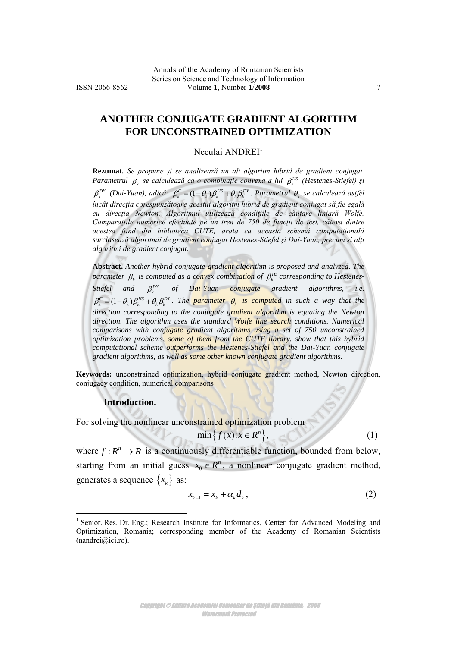# **ANOTHER CONJUGATE GRADIENT ALGORITHM FOR UNCONSTRAINED OPTIMIZATION**

Neculai ANDREI<sup>1</sup>

**Rezumat.** *Se propune şi se analizează un alt algoritm hibrid de gradient conjugat. Parametrul*  $\beta_k$  *se calculează ca o combinație convexa a lui*  $\beta_k^{HS}$  *(Hestenes-Stiefel) și*  $\beta_k^{DY}$  (Dai-Yuan), adică:  $\beta_k^C = (1-\theta_k)\beta_k^{HS} + \theta_k\beta_k^{DY}$ . Parametrul  $\theta_k$  se calculează astfel *încât direcţia corespunzătoare acestui algoritm hibrid de gradient conjugat să fie egală cu direcţia Newton. Algoritmul utilizează condiţiile de căutare liniară Wolfe. Comparaţiile numerice efectuate pe un tren de 750 de funcţii de test, câteva dintre acestea fiind din biblioteca CUTE, arata ca aceasta schemă computaţională surclasează algoritmii de gradient conjugat Hestenes-Stiefel şi Dai-Yuan, precum şi alţi algoritmi de gradient conjugat.*

**Abstract.** *Another hybrid conjugate gradient algorithm is proposed and analyzed. The*  parameter  $\beta_k$  is computed as a co<mark>nve</mark>x combin<mark>atio</mark>n of  $\beta_k^{\text{\tiny HS}}$  corresponding to Hestenes-*Stiefel and DY <sup>k</sup> of Dai-Yuan conjugate gradient algorithms, i.e.*   $\beta_k^C = (1 - \theta_k) \beta_k^{BS} + \theta_k \beta_k^{DY}$ . The parameter  $\theta_k$  is computed in such a way that the *direction corresponding to the conjugate gradient algorithm is equating the Newton*  direction. The algorithm uses the standard Wolfe line search conditions. Numerical *comparisons with conjugate gradient algorithms using a set of 750 unconstrained optimization problems, some of them from the CUTE library, show that this hybrid computational scheme outperforms the Hestenes-Stiefel and the Dai-Yuan conjugate gradient algorithms, as well as some other known conjugate gradient algorithms.*

**Keywords:** unconstrained optimization, hybrid conjugate gradient method, Newton direction, conjugacy condition, numerical comparisons

#### **Introduction.**

 $\overline{a}$ 

For solving the nonlinear unconstrained optimization problem  $\min\{f(x): x \in R^n\},$ 

$$
\min\{f(x):x\in R^n\},\
$$

where  $f: R^n \to R$  is a continuously differentiable function, bounded from below, starting from an initial guess  $x_0$  $x_0 \in R^n$ , a nonlinear conjugate gradient method, generates a sequence  $\{x_k\}$  as:

$$
x_{k+1} = x_k + \alpha_k d_k, \qquad (2)
$$

 $\sim$  (1)

<sup>&</sup>lt;sup>1</sup> Senior. Res. Dr. Eng.; Research Institute for Informatics, Center for Advanced Modeling and Optimization, Romania; corresponding member of the Academy of Romanian Scientists  $(nandrei@ici.ro).$  $(nandrei@ici.ro).$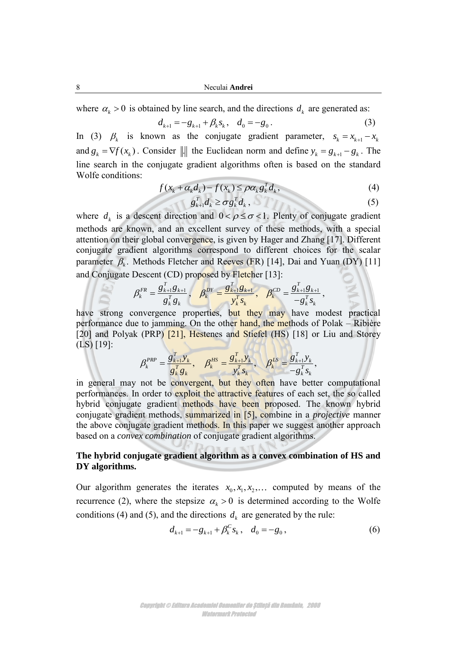8 Neculai **Andrei**

where  $\alpha_k > 0$  is obtained by line search, and the directions  $d_k$  are generated as:

$$
d_{k+1} = -g_{k+1} + \beta_k s_k, \quad d_0 = -g_0.
$$
 (3)

In (3)  $\beta_k$  is known as the conjugate gradient parameter,  $s_k = x_{k+1} - x_k$ and  $g_k = \nabla f(x_k)$ . Consider || the Euclidean norm and define  $y_k = g_{k+1} - g_k$ . The line search in the conjugate gradient algorithms often is based on the standard Wolfe conditions:

$$
\text{Wolte conditions:} \qquad \qquad f(x_k + \alpha_k d_k) - f(x_k) \le \rho \alpha_k g_k^T d_k,\tag{4}
$$

$$
g_{k+1}^T d_k \geq \sigma g_k^T d_k, \qquad (5)
$$

where  $d_k$  is a descent direction and  $0 < \rho \le \sigma < 1$ . Plenty of conjugate gradient methods are known, and an excellent survey of these methods, with a special attention on their global convergence, is given by Hager and Zhang [17]. Different conjugate gradient algorithms correspond to different choices for the scalar parameter  $\beta_k$ . Methods Fletcher and Reeves (FR) [14], Dai and Yuan (DY) [11] and Conjugate Descent (CD) proposed by Fletcher [13]:

$$
\beta_k^{FR} = \frac{g_{k+1}^T g_{k+1}}{g_k^T g_k}, \quad \beta_k^{DY} = \frac{g_{k+1}^T g_{k+1}}{y_k^T s_k}, \quad \beta_k^{CD} = \frac{g_{k+1}^T g_{k+1}}{-g_k^T s_k},
$$

have strong convergence properties, but they may have modest practical performance due to jamming. On the other hand, the methods of Polak – Ribière [20] and Polyak (PRP) [21], Hestenes and Stiefel (HS) [18] or Liu and Storey (LS) [19]:

$$
\beta_k^{PRP} = \frac{g_{k+1}^T y_k}{g_k^T g_k}, \quad \beta_k^{HS} = \frac{g_{k+1}^T y_k}{y_k^T s_k}, \quad \beta_k^{LS} = \frac{g_{k+1}^T y_k}{-g_k^T s_k},
$$

in general may not be convergent, but they often have better computational performances. In order to exploit the attractive features of each set, the so called hybrid conjugate gradient methods have been proposed. The known hybrid conjugate gradient methods, summarized in [5], combine in a *projective* manner the above conjugate gradient methods. In this paper we suggest another approach based on a *convex combination* of conjugate gradient algorithms.

# **The hybrid conjugate gradient algorithm as a convex combination of HS and DY algorithms.**

Our algorithm generates the iterates  $x_0, x_1, x_2, \ldots$  computed by means of the recurrence (2), where the stepsize  $\alpha_k > 0$  is determined according to the Wolfe conditions (4) and (5), and the directions  $d_k$  are generated by the rule:

$$
d_{k+1} = -g_{k+1} + \beta_k^C s_k, \quad d_0 = -g_0,
$$
\n(6)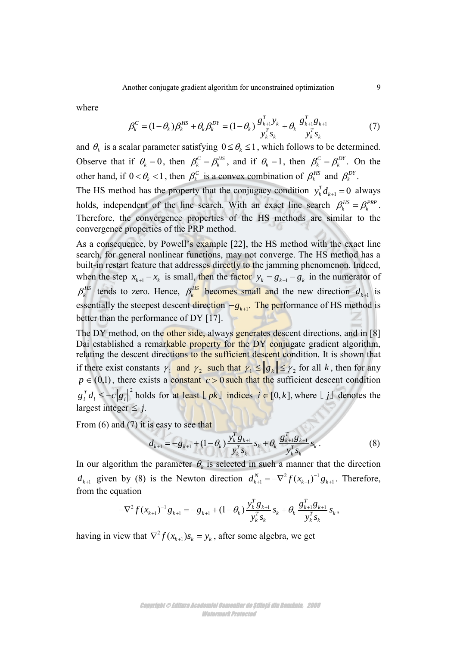where

$$
\beta_k^C = (1 - \theta_k) \beta_k^{HS} + \theta_k \beta_k^{DY} = (1 - \theta_k) \frac{g_{k+1}^T y_k}{y_k^T s_k} + \theta_k \frac{g_{k+1}^T g_{k+1}}{y_k^T s_k}
$$
(7)

and  $\theta_k$  is a scalar parameter satisfying  $0 \leq \theta_k \leq 1$ , which follows to be determined. Observe that if  $\theta_k = 0$ , then  $\beta_k^C = \beta_k^{HS}$ , and if  $\theta_k = 1$ , then  $\beta_k^C = \beta_k^{DY}$ . On the other hand, if  $0 < \theta_k < 1$ , then  $\beta_k^C$  is a convex combination of  $\beta_k^{HS}$  and  $\beta_k^{DY}$ .

The HS method has the property that the conjugacy condition  $y_k^T d_{k+1} = 0$  always holds, independent of the line search. With an exact line search  $\beta_k^{HS} = \beta_k^{PP}$ . Therefore, the convergence properties of the HS methods are similar to the convergence properties of the PRP method.

As a consequence, by Powell's example [22], the HS method with the exact line search, for general nonlinear functions, may not converge. The HS method has a built-in restart feature that addresses directly to the jamming phenomenon. Indeed, when the step  $x_{k+1} - x_k$  is small, then the factor  $y_k = g_{k+1} - g_k$  in the numerator of  $\beta_k^{HS}$  tends to zero. Hence,  $\beta_k^{HS}$  becomes small and the new direction  $d_{k+1}$  is essentially the steepest descent direction  $-g_{k+1}$ . The performance of HS method is better than the performance of DY [17].

The DY method, on the other side, always generates descent directions, and in [8] Dai established a remarkable property for the DY conjugate gradient algorithm, relating the descent directions to the sufficient descent condition. It is shown that if there exist constants  $\gamma_1$  and  $\gamma_2$  such that  $\gamma_1 \le ||g_k|| \le \gamma_2$  for all k, then for any  $p \in (0,1)$ , there exists a constant  $c > 0$  such that the sufficient descent condition  $g_i^T d_i \leq -c ||g_i||^2$  holds for at least  $\lfloor pk \rfloor$  indices  $i \in [0, k]$ , where  $\lfloor j \rfloor$  denotes the largest integer  $\leq j$ .

From (6) and (7) it is easy to see that  
\n
$$
d_{k+1} = -g_{k+1} + (1 - \theta_k) \frac{y_k^T g_{k+1}}{y_k^T s_k} s_k + \theta_k \frac{g_{k+1}^T g_{k+1}}{y_k^T s_k} s_k.
$$
\n(8)

In our algorithm the parameter  $\theta_k$  is selected in such a manner that the direction *k*<sub>*k+1</sub>* given by (8) is the Newton direction  $d_{k+1}^N = -\nabla^2 f(x_{k+1})^{-1} g_{k+1}$ . Therefore,<br>
from the equation<br>  $-\nabla^2 f(x_{k+1})^{-1} g_{k+1} = -g_{k+1} + (1 - \theta_k) \frac{y_k^T g_{k+1}}{y_k^T g_k} s_k + \theta_k \frac{g_{k+1}^T g_{k+1}}{y_k^T g_k} s_k$ ,</sub> from the equation  $T_{\rm g}$ <sub>r</sub>  $T_{\rm g}$ <sub>r</sub>  $T_{\rm g}$ <sup>7</sup>

$$
\begin{aligned}\n\text{uation} \\
-\nabla^2 f(x_{k+1})^{-1} g_{k+1} &= -g_{k+1} + (1 - \theta_k) \frac{y_k^T g_{k+1}}{y_k^T s_k} s_k + \theta_k \frac{g_{k+1}^T g_{k+1}}{y_k^T s_k} s_k,\n\end{aligned}
$$

having in view that  $\nabla^2$  $\nabla^2 f(x_{k+1}) s_k = y_k$ , after some algebra, we get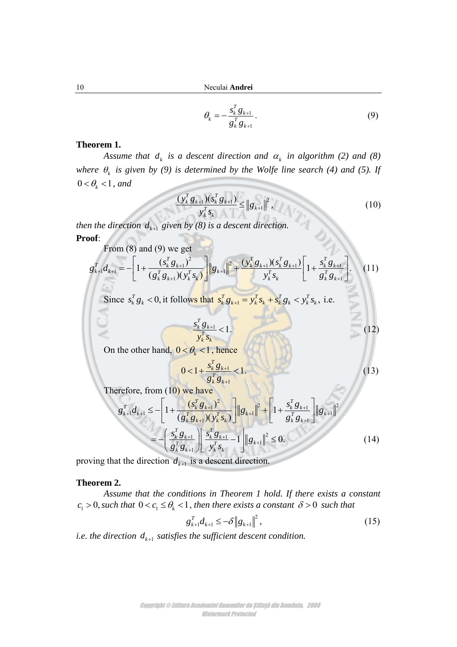$$
\theta_k = -\frac{s_k^T g_{k+1}}{g_k^T g_{k+1}}.
$$
\n(9)

#### **Theorem 1.**

Assume that  $d_k$  is a descent direction and  $\alpha_k$  in algorithm (2) and (8) where  $\theta_k$  is given by (9) is determined by the Wolfe line search (4) and (5). If  $0 < \theta_{k} < 1$ , and

$$
\frac{(\mathbf{y}_{k}^{T} \mathbf{g}_{k+1})(\mathbf{g}_{k}^{T} \mathbf{g}_{k+1})}{\mathbf{y}_{k}^{T} \mathbf{g}_{k}} \leq ||\mathbf{g}_{k+1}||^{2}, \qquad (10)
$$

*then the direction*  $d_{k+1}$  *given by (8) is a descent direction.* 

**Proof**:

$$
\text{post:} \quad \text{From (8) and (9) we get} \quad \mathbf{g}_{k+1}^T \mathbf{g}_{k+1}^T \mathbf{g}_{k+1}^T \mathbf{g}_{k+1}^T \mathbf{g}_{k+1}^T \mathbf{g}_{k+1}^T \mathbf{g}_{k+1}^T \mathbf{g}_{k+1}^T \mathbf{g}_{k+1}^T \mathbf{g}_{k+1}^T \mathbf{g}_{k+1}^T \mathbf{g}_{k+1}^T \mathbf{g}_{k+1}^T \mathbf{g}_{k+1}^T \mathbf{g}_{k+1}^T \mathbf{g}_{k+1}^T \mathbf{g}_{k+1}^T \mathbf{g}_{k+1}^T \mathbf{g}_{k+1}^T \mathbf{g}_{k+1}^T \mathbf{g}_{k+1}^T \mathbf{g}_{k+1}^T \mathbf{g}_{k+1}^T \mathbf{g}_{k+1}^T \mathbf{g}_{k+1}^T \mathbf{g}_{k+1}^T \mathbf{g}_{k+1}^T \mathbf{g}_{k+1}^T \mathbf{g}_{k+1}^T \mathbf{g}_{k+1}^T \mathbf{g}_{k+1}^T \mathbf{g}_{k+1}^T \mathbf{g}_{k+1}^T \mathbf{g}_{k+1}^T \mathbf{g}_{k+1}^T \mathbf{g}_{k+1}^T \mathbf{g}_{k+1}^T \mathbf{g}_{k+1}^T \mathbf{g}_{k+1}^T \mathbf{g}_{k+1}^T \mathbf{g}_{k+1}^T \mathbf{g}_{k+1}^T \mathbf{g}_{k+1}^T \mathbf{g}_{k+1}^T \mathbf{g}_{k+1}^T \mathbf{g}_{k+1}^T \mathbf{g}_{k+1}^T \mathbf{g}_{k+1}^T \mathbf{g}_{k+1}^T \mathbf{g}_{k+1}^T \mathbf{g}_{k+1}^T \mathbf{g}_{k+1}^T \mathbf{g}_{k+1}^T \mathbf{g}_{k+1}^T \mathbf{g}_{k+1}^T \mathbf{g}_{k+1}^T \mathbf{g}_{k+1}^T \mathbf{g}_{k+1}^T \mathbf{g}_{k+1}^T \mathbf{g}_{k+1}^T \mathbf{g}_{k+1}^T \mathbf{
$$

Since 
$$
s_k^T g_k < 0
$$
, it follows that  $s_k^T g_{k+1} = y_k^T s_k + s_k^T g_k < y_k^T s_k$ , i.e.

$$
\frac{s_k^T g_{k+1}}{y_k^T s_k} < 1.
$$
 (12)

On the other hand,  $0 < \theta_k < 1$ , hence

$$
0 < 1 + \frac{s_k^T g_{k+1}}{g_k^T g_{k+1}} < 1 \tag{13}
$$

Therefore, from (10) we have

$$
g_k^T g_{k+1}
$$
  
\n
$$
g_{k+1}^T d_{k+1} \le -\left[1 + \frac{(s_k^T g_{k+1})^2}{(g_k^T g_{k+1})(y_k^T s_k)}\right] \|g_{k+1}\|^2 + \left[1 + \frac{s_k^T g_{k+1}}{g_k^T g_{k+1}}\right] \|g_{k+1}\|^2
$$
  
\n
$$
= -\left(\frac{s_k^T g_{k+1}}{g_k^T g_{k+1}}\right) \left|\frac{s_k^T g_{k+1}}{y_k^T s_k} - 1\right| \|g_{k+1}\|^2 \le 0.
$$
 (14)

proving that the direction  $d_{k+1}$  is a descent direction.

#### **Theorem 2.**

*Assume that the conditions in Theorem 1 hold. If there exists a constant*   $c_1 > 0$ , such that  $0 < c_1 \leq \theta_k < 1$ , then there exists a constant  $\delta > 0$  such that

$$
g_{k+1}^T d_{k+1} \leq -\delta \|g_{k+1}\|^2, \qquad (15)
$$

*i.e. the direction*  $d_{k+1}$  *satisfies the sufficient descent condition.*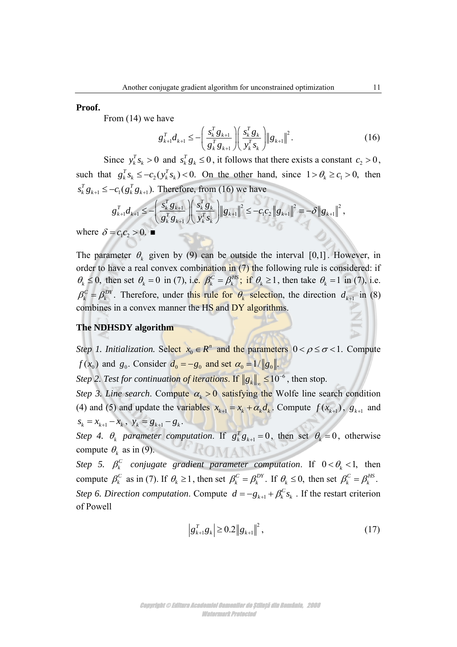#### **Proof.**

From (14) we have

have  
\n
$$
g_{k+1}^T d_{k+1} \leq -\left(\frac{s_k^T g_{k+1}}{g_k^T g_{k+1}}\right) \left(\frac{s_k^T g_k}{y_k^T s_k}\right) \|g_{k+1}\|^2.
$$
\n(16)

Since  $y_k^T s_k > 0$  and  $s_k^T g_k \le 0$ , it follows that there exists a constant  $c_2 > 0$ , such that  $g_k^T s_k \le -c_2(y_k^T s_k) < 0$ . On the other hand, since  $1 > \theta_k \ge c_1 > 0$ , then  $s_k^T g_{k+1} \le -c_1 (g_k^T g_{k+1})$ . Therefore, from (16) we have  $\sum_{k} (y_k s_k) < 0$ . On the other<br>Therefore, from (16) we have<br> $\left( \frac{s_k^T g_{k+1}}{r} \right) \left( \frac{s_k^T g_k}{r} \right) \|g_{k+1}\|^2 \leq$ 

$$
g_{k}^{T} g_{k+1} = c_1 (g_k^T g_{k+1}).
$$
 Therefore, from (16) we have  
\n
$$
g_{k+1}^{T} d_{k+1} \leq -\left(\frac{s_k^T g_{k+1}}{g_k^T g_{k+1}}\right) \left(\frac{s_k^T g_k}{y_k^T s_k}\right) \|g_{k+1}\|^2 \leq -c_1 c_2 \|g_{k+1}\|^2 = -\delta \|g_{k+1}\|^2,
$$
\n
$$
= c_1 c_2 > 0.
$$

where  $\delta = c_1 c_2 > 0$ .

The parameter  $\theta_k$  given by (9) can be outside the interval [0,1]. However, in order to have a real convex combination in  $(7)$  the following rule is considered: if  $\theta_k \le 0$ , then set  $\theta_k = 0$  in (7), i.e.  $\beta_k^C = \beta_k^{HS}$ ; if  $\theta_k \ge 1$ , then take  $\theta_k = 1$  in (7), i.e.  $\beta_k^C = \beta_k^{DY}$ . Therefore, under this rule for  $\theta_k$  selection, the direction  $d_{k+1}$  in (8) combines in a convex manner the HS and DY algorithms.

#### **The NDHSDY algorithm**

*Step 1. Initialization.* Select 0  $x_0 \in R^n$  and the parameters  $0 < \rho \le \sigma < 1$ . Compute  $f(x_0)$  and  $g_0$ . Consider  $d_0 = -g_0$  and set  $\alpha_0 = 1/\|g_0\|$ .

*Step 2. Test for continuation of iterations.* If  $\|g_k\|_{\infty} \leq 10^{-6}$  $\leq 10^{-6}$ , then stop.

*Step 3. Line search.* Compute  $\alpha_k > 0$  satisfying the Wolfe line search condition (4) and (5) and update the variables  $x_{k+1} = x_k + \alpha_k d_k$ . Compute  $f(x_{k+1})$ ,  $g_{k+1}$  and  $s_k = x_{k+1} - x_k$ ,  $y_k = g_{k+1} - g_k$ .

*Step 4.*  $\theta_k$  parameter computation. If  $g_k^T g_{k+1} = 0$ , then set  $\theta_k = 0$ , otherwise OMANIA compute  $\theta_k$  as in (9).

*Step 5.*  $\beta_k^C$  conjugate gradient parameter computation. If  $0 < \theta_k < 1$ , then compute  $\beta_k^C$  as in (7). If  $\theta_k \ge 1$ , then set  $\beta_k^C = \beta_k^{DY}$ . If  $\theta_k \le 0$ , then set  $\beta_k^C = \beta_k^{HS}$ . Step 6. Direction computation. Compute  $d = -g_{k+1}$  $d = -g_{k+1} + \beta_k^C s_k$ . If the restart criterion of Powell

$$
\left|g_{k+1}^T g_k\right| \ge 0.2 \left\|g_{k+1}\right\|^2,\tag{17}
$$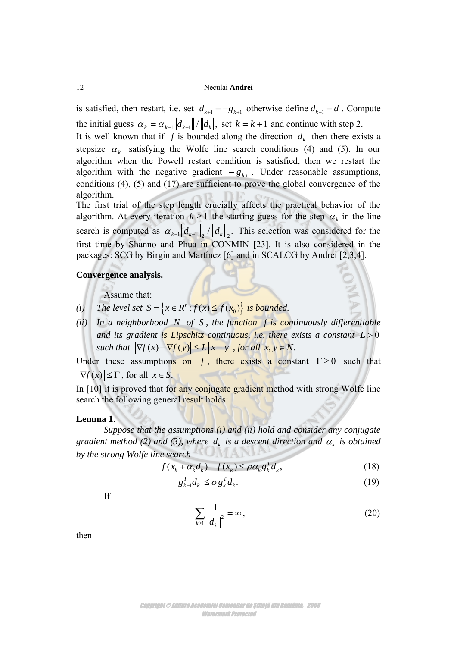is satisfied, then restart, i.e. set  $d_{k+1} = -g_{k+1}$  otherwise define  $d_{k+1} = d$ . Compute the initial guess  $\alpha_k = \alpha_{k-1} ||d_{k-1}|| / ||d_k||$ , set  $k = k+1$  and continue with step 2. It is well known that if  $f$  is bounded along the direction  $d_k$  then there exists a stepsize  $\alpha_k$  satisfying the Wolfe line search conditions (4) and (5). In our algorithm when the Powell restart condition is satisfied, then we restart the algorithm with the negative gradient  $-g_{k+1}$ . Under reasonable assumptions, conditions (4), (5) and (17) are sufficient to prove the global convergence of the algorithm.

The first trial of the step length crucially affects the practical behavior of the algorithm. At every iteration  $k \ge 1$  the starting guess for the step  $\alpha_k$  in the line search is computed as  $\alpha_{k-1} ||d_{k-1}||_2 / ||d_k||_2$ . This selection was considered for the first time by Shanno and Phua in CONMIN [23]. It is also considered in the packages: SCG by Birgin and Martínez [6] and in SCALCG by Andrei [2,3,4].

#### **Convergence analysis.**

Assume that:

- *(i) The level set*  $S = \{x \in R^n : f(x) \le f(x_0)\}$  *is bounded.*
- *(ii) In a neighborhood N of S , the function f is continuously differentiable*  and its gradient i<mark>s Lipschitz continuous, i.e. there</mark> exists a constant  $L\!>\!0$ *such that*  $\|\nabla f(x) - \nabla f(y)\| \le L \|x - y\|$ , for all  $x, y \in N$ .

Under these assumptions on  $f$ , there exists a constant  $\Gamma \ge 0$  such that  $\|\nabla f(x)\| \leq \Gamma$ , for all  $x \in S$ .

In [10] it is proved that for any conjugate gradient method with strong Wolfe line search the following general result holds:

## **Lemma 1**.

*Suppose that the assumptions (i) and (ii) hold and consider any conjugate gradient method (2) and (3), where*  $d_k$  *is a descent direction and*  $\alpha_k$  *is obtained by the strong Wolfe line search*  $f(x_k + \alpha_k d_k) - f(x_k) \leq \rho \alpha_k g_k^T d_k$ ,

*e search*  

$$
f(x_k + \alpha_k d_k) - f(x_k) \le \rho \alpha_k g_k^T d_k,
$$
 (18)

$$
g_{k+1}^T d_k \le \sigma g_k^T d_k. \tag{19}
$$

If

$$
\sum_{k\geq 1} \frac{1}{\left\|d_k\right\|^2} = \infty, \tag{20}
$$

then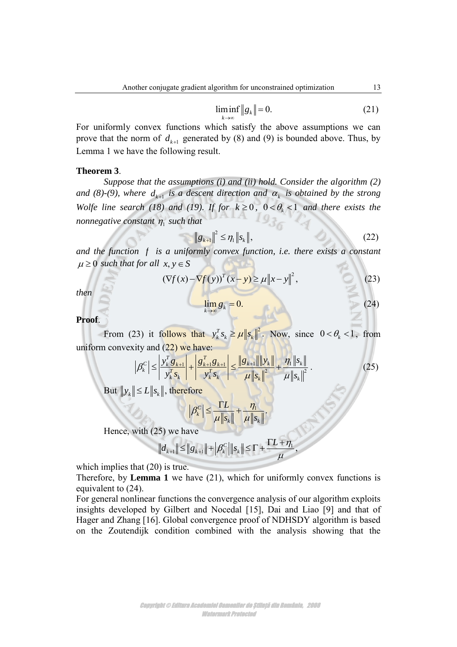$$
\liminf_{k \to \infty} \|g_k\| = 0. \tag{21}
$$

For uniformly convex functions which satisfy the above assumptions we can prove that the norm of  $d_{k+1}$  generated by (8) and (9) is bounded above. Thus, by Lemma 1 we have the following result.

#### **Theorem 3**.

*Suppose that the assumptions (i) and (ii) hold. Consider the algorithm (2)*  and (8)-(9), where  $d_{k+1}$  is a descent direction and  $\alpha_k$  is obtained by the strong *Wolfe line search (18) and (19). If for*  $k \ge 0$ *,*  $0 < \theta_k < 1$  *and there exists the nonnegative constant*  <sup>1</sup> *such that* 

$$
\|g_{k+1}\|^2 \leq \eta_1 \|s_k\|,\tag{22}
$$

and the function f is a uniformly convex function, i.e. there exists a constant  $\mu \geq 0$  such that for all  $x, y \in S$ 

$$
(x, y \in S)
$$
  

$$
(\nabla f(x) - \nabla f(y))^T (x - y) \ge \mu \|x - y\|^2,
$$
 (23)

*then* 

$$
\lim_{k\to\infty}g_k=0.
$$
 (24)

**Proof**.

From (23) it follows that  $y_k^T s_k \ge \mu \| s_k$ <sup>2</sup>. Now, since  $0 < \theta_k < 1$ , from uniform convexity and  $(22)$  we have:

$$
\left| \beta_{k}^{C} \right| \leq \left| \frac{y_{k}^{T} g_{k+1}}{y_{k}^{T} s_{k}} \right| + \left| \frac{g_{k+1}^{T} g_{k+1}}{y_{k}^{T} s_{k}} \right| \leq \frac{\left\| g_{k+1} \right\| \left\| y_{k} \right\|}{\mu \left\| s_{k} \right\|^{2}} + \frac{\eta_{1} \left\| s_{k} \right\|}{\mu \left\| s_{k} \right\|^{2}} \,. \tag{25}
$$

But  $\|y_k\| \le L \|s_k\|$ , therefore

$$
\left|\beta_{k}^{C}\right|\leq\frac{\Gamma L}{\mu\left\Vert s_{k}\right\Vert }+\frac{\eta_{1}}{\mu\left\Vert s_{k}\right\Vert }.
$$

Hence, with (25) we have

25) we have  

$$
||d_{k+1}|| \le ||g_{k+1}|| + |\beta_k^C|| ||s_k|| \le \Gamma + \frac{\Gamma L + \eta_1}{\mu},
$$

which implies that  $(20)$  is true.

Therefore, by **Lemma 1** we have (21), which for uniformly convex functions is equivalent to (24).

For general nonlinear functions the convergence analysis of our algorithm exploits insights developed by Gilbert and Nocedal [15], Dai and Liao [9] and that of Hager and Zhang [16]. Global convergence proof of NDHSDY algorithm is based on the Zoutendijk condition combined with the analysis showing that the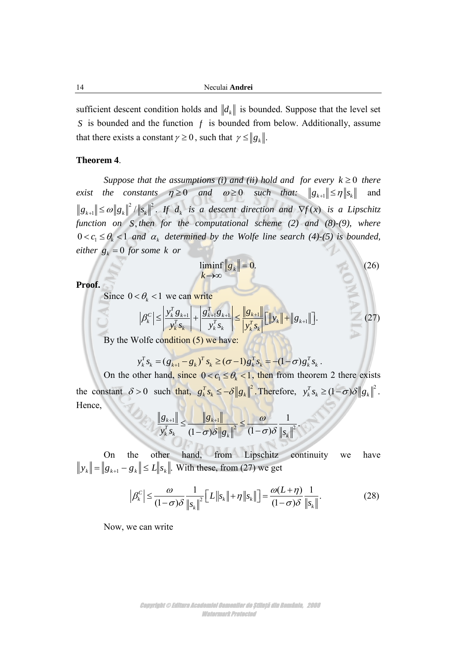sufficient descent condition holds and  $\Vert d_k \Vert$  is bounded. Suppose that the level set *S* is bounded and the function  $f$  is bounded from below. Additionally, assume that there exists a constant  $\gamma \ge 0$ , such that  $\gamma \le ||g_k||$ .

## **Theorem 4**.

*Suppose that the assumptions (i) and (ii) hold and for every*  $k \geq 0$  *there exist the constants*  $\eta \ge 0$  *and*  $\omega \ge 0$  *such that:*  $||g_{k+1}|| \le \eta ||g_k||$  and  $^{2}$   $\|$   $\|$   $^{2}$  $\|g_{k+1}\| \leq \omega \|g_k\|^2 / \|s_k\|^2$ . If  $d_k$  is a descent direction and  $\nabla f(x)$  is a Lipschitz *function on S*, *then for the computational scheme (2) and (8)-(9), where*   $0 < c_1 \leq \theta_k < 1$  and  $\alpha_k$  determined by the Wolfe line search (4)-(5) is bounded,  $e$ *i*ther  $g_k = 0$  *for some k or* 

$$
\liminf_{k \to \infty} \|g_k\| = 0.
$$
 (26)

**Proof.**

Since  $0 < \theta_k < 1$  we can write

$$
<\theta_k < 1
$$
 we can write  
\n
$$
|\beta_k^C| \le \left| \frac{y_k^T g_{k+1}}{y_k^T g_k} \right| + \left| \frac{g_{k+1}^T g_{k+1}}{y_k^T g_k} \right| \le \left| \frac{|g_{k+1}|}{y_k^T g_k} \right| \left[ \|y_k\| + \|g_{k+1}\| \right].
$$
\n(27)

By the Wolfe condition (5) we have:

$$
y_k^T s_k = (g_{k+1} - g_k)^T s_k \ge (\sigma - 1) g_k^T s_k = -(1 - \sigma) g_k^T s_k.
$$

On the other hand, since  $0 < c_1 \le \theta_k < 1$ , then from theorem 2 there exists the constant  $\delta > 0$  such that,  $g_k^T s_k \le -\delta ||g_k||^2$ . Therefore,  $y_k^T s_k \ge (1-\sigma)\delta ||g_k||^2$ . Hence,

$$
\frac{\left\|g_{k+1}\right\|}{y_k^T s_k} \le \frac{\left\|g_{k+1}\right\|}{(1-\sigma)\delta \left\|g_k\right\|^2} \le \frac{\omega}{(1-\sigma)\delta} \frac{1}{\left\|s_k\right\|^2}.
$$

On the other hand, from Lipschitz continuity we have  $y_k$   $\| = \|g_{k+1} - g_k\| \le L \|s_k\|$ . With these, from (27) we get<br>  $|\beta_k^C| \le \frac{\omega}{(1-\sigma)\delta} \frac{1}{\|s\|^2} \Big[L \|s_k\| + \eta \|s_k\| \Big] = \frac{\omega(L+\eta)}{(1-\sigma)\delta} \frac{1}{\|s\|}$ .

$$
\left|\beta_{k}^{C}\right| \leq \frac{\omega}{(1-\sigma)\delta} \frac{1}{\left\|s_{k}\right\|^{2}} \left[L\left\|s_{k}\right\| + \eta\left\|s_{k}\right\right|\right] = \frac{\omega(L+\eta)}{(1-\sigma)\delta} \frac{1}{\left\|s_{k}\right\|}.
$$
 (28)

Now, we can write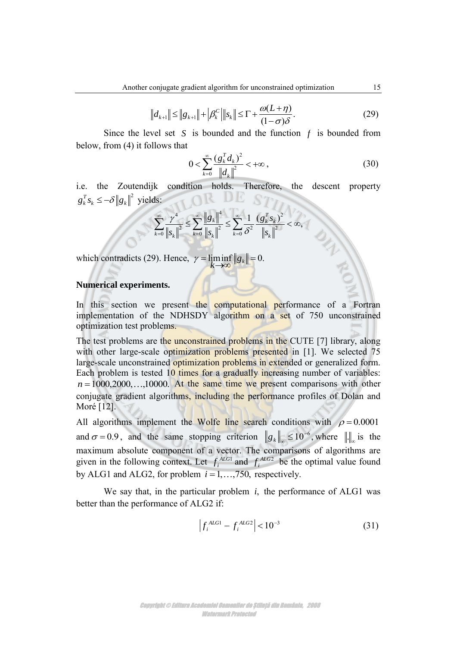$$
||d_{k+1}|| \le ||g_{k+1}|| + |\beta_k^C|| ||s_k|| \le \Gamma + \frac{\omega(L+\eta)}{(1-\sigma)\delta}.
$$
\n(29)

Since the level set S is bounded and the function  $f$  is bounded from below, from (4) it follows that

$$
0 < \sum_{k=0}^{\infty} \frac{(g_k^T d_k)^2}{\left\| d_k \right\|^2} < +\infty \,, \tag{30}
$$

i.e. the Zoutendijk condition holds. Therefore, the descent property  $g_k^T s_k \leq -\delta \|g_k\|^2$  yields:

ds:  
\n
$$
\sum_{k=0}^{\infty} \frac{\gamma^4}{\|s_k\|^2} \le \sum_{k=0}^{\infty} \frac{\|g_k\|^4}{\|s_k\|^2} \le \sum_{k=0}^{\infty} \frac{1}{\delta^2} \frac{(g_k^T s_k)^2}{\|s_k\|^2} < \infty,
$$

which contradicts (29). Hence,  $\gamma = \liminf_{k \to \infty} ||g_k|| = 0$ .  $\gamma =$ liminf  $||g_k|| = 0$ .  $\rightarrow \infty$ 

# **Numerical experiments.**

In this section we present the computational performance of a Fortran implementation of the NDHSDY algorithm on a set of 750 unconstrained optimization test problems.

The test problems are the unconstrained problems in the CUTE [7] library, along with other large-scale optimization problems presented in [1]. We selected 75 large-scale unconstrained optimization problems in extended or generalized form. Each problem is tested 10 times for a gradually increasing number of variables:  $n = 1000, 2000, \ldots, 10000$ . At the same time we present comparisons with other conjugate gradient algorithms, including the performance profiles of Dolan and Moré [12].

All algorithms implement the Wolfe line search conditions with  $\rho = 0.0001$ and  $\sigma = 0.9$ , and the same stopping criterion  $||g_k||_{\infty} \le 10^{-6}$ , where  $||\cdot||_{\infty}$  is the maximum absolute component of a vector. The comparisons of algorithms are given in the following context. Let  $f_i$  $^{ALG1}$  and  $f_i$ *ALG*2 be the optimal value found by ALG1 and ALG2, for problem  $i = 1, \ldots, 750$ , respectively.

We say that, in the particular problem  $i$ , the performance of ALG1 was better than the performance of ALG2 if:

$$
\left| f_i^{ALG1} - f_i^{ALG2} \right| < 10^{-3} \tag{31}
$$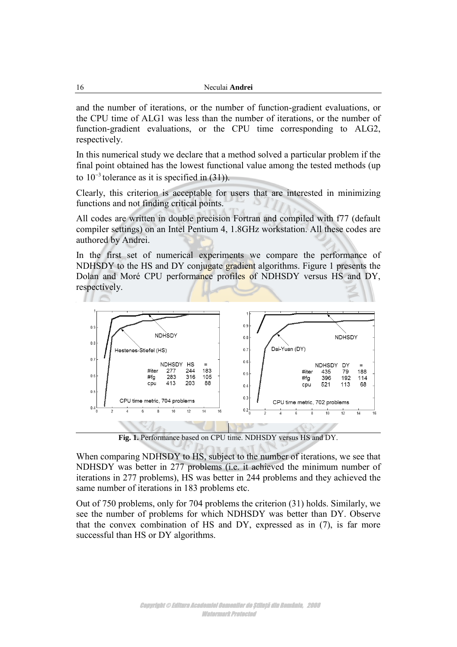and the number of iterations, or the number of function-gradient evaluations, or the CPU time of ALG1 was less than the number of iterations, or the number of function-gradient evaluations, or the CPU time corresponding to ALG2, respectively.

In this numerical study we declare that a method solved a particular problem if the final point obtained has the lowest functional value among the tested methods (up to  $10^{-3}$  tolerance as it is specified in (31)).

Clearly, this criterion is acceptable for users that are interested in minimizing functions and not finding critical points.

All codes are written in double precision Fortran and compiled with f77 (default compiler settings) on an Intel Pentium 4, 1.8GHz workstation. All these codes are authored by Andrei.

In the first set of numerical experiments we compare the performance of NDHSDY to the HS and DY conjugate gradient algorithms. Figure 1 presents the Dolan and Moré CPU performance profiles of NDHSDY versus HS and DY, respectively.



**Fig. 1.** Performance based on CPU time. NDHSDY versus HS and DY.

When comparing NDHSDY to HS, subject to the number of iterations, we see that NDHSDY was better in 277 problems (i.e. it achieved the minimum number of iterations in 277 problems), HS was better in 244 problems and they achieved the same number of iterations in 183 problems etc.

Out of 750 problems, only for 704 problems the criterion (31) holds. Similarly, we see the number of problems for which NDHSDY was better than DY. Observe that the convex combination of HS and DY, expressed as in (7), is far more successful than HS or DY algorithms.

> Copyright © Editura Academiei Oamenilor de Știință din România, 2008 Watermark Protected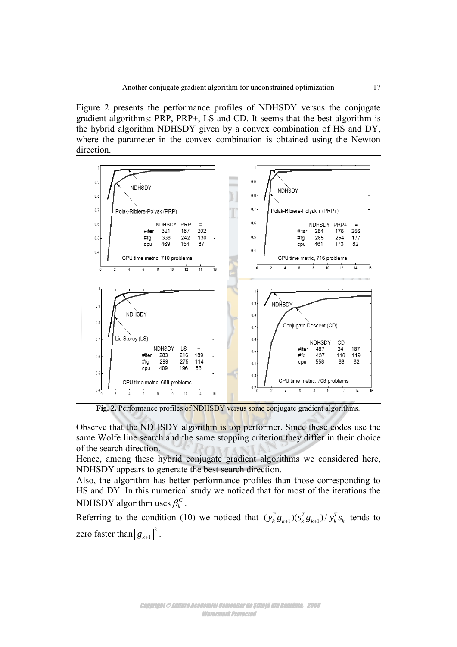Figure 2 presents the performance profiles of NDHSDY versus the conjugate gradient algorithms: PRP, PRP+, LS and CD. It seems that the best algorithm is the hybrid algorithm NDHSDY given by a convex combination of HS and DY, where the parameter in the convex combination is obtained using the Newton direction.



Fig. 2. Performance profiles of NDHSDY versus some conjugate gradient algorithms.

Observe that the NDHSDY algorithm is top performer. Since these codes use the same Wolfe line search and the same stopping criterion they differ in their choice of the search direction.

Hence, among these hybrid conjugate gradient algorithms we considered here, NDHSDY appears to generate the best search direction.

Also, the algorithm has better performance profiles than those corresponding to HS and DY. In this numerical study we noticed that for most of the iterations the NDHSDY algorithm uses  $\beta_k^C$ .

Referring to the condition (10) we noticed that  $(y_k^T g_{k+1})(s_k^T g_{k+1})/y_k^T s_k$  tends to zero faster than  $\left\|g_{k+1}\right\|^2$ .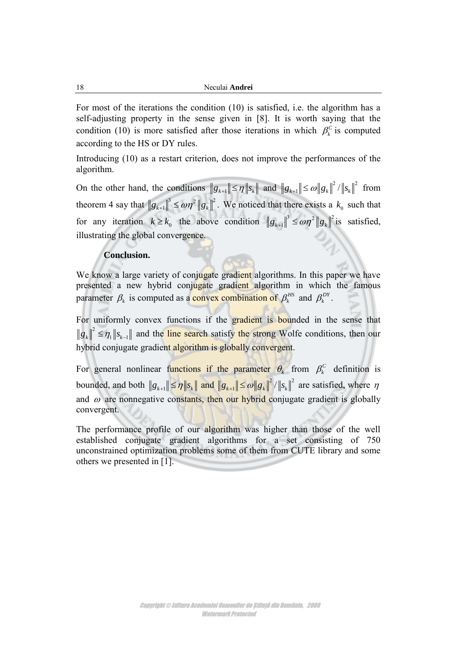For most of the iterations the condition (10) is satisfied, i.e. the algorithm has a self-adjusting property in the sense given in [8]. It is worth saying that the condition (10) is more satisfied after those iterations in which  $\beta_k^c$  is computed according to the HS or DY rules.

Introducing (10) as a restart criterion, does not improve the performances of the algorithm.

On the other hand, the conditions  $||g_{k+1}|| \leq \eta ||s_k||$  and  $||g_{k+1}|| \leq \omega ||g_k||^2 / ||s_k||^2$  $g_{k+1} \| \le \omega \| g_k \|^2 / \| s_k \|^2$  from theorem 4 say that  $||g_{k+1}||^3 \leq \omega \eta^2 ||g_k||^2$ .  $g_{k+1} \bigg|^{3} \leq \omega \eta^{2} \|g_{k}\|^{2}$ . We noticed that there exists a  $k_{0}$  such that for any iteration  $k \ge k_0$  the above condition  $||g_{k+1}||^3 \le \omega \eta^2 ||g_k||^2$  is satisfied, illustrating the global convergence.

## **Conclusion.**

We know a large variety of conjugate gradient algorithms. In this paper we have presented a new hybrid conjugate gradient algorithm in which the famous parameter  $\beta_k$  is computed as a **convex combination of**  $\beta_k^{HS}$  and  $\beta_k^{DY}$ .

For uniformly convex functions if the gradient is bounded in the sense that  $g_k \nvert^2 \leq \eta_1 \nvert s_{k-1} \rvert$  and the line search satisfy the strong Wolfe conditions, then our hybrid conjugate gradient algorithm is globally convergent.

For general nonlinear functions if the parameter  $\theta_k$  from  $\beta_k^c$  definition is bounded, and both  $||g_{k+1}|| \le \eta ||s_k||$  and  $||g_{k+1}|| \le \omega ||g_k||^2 / ||s_k||^2$  $g_{k+1}$   $\leq \omega \|g_k\|^2 / \|s_k\|^2$  are satisfied, where  $\eta$ and  $\omega$  are nonnegative constants, then our hybrid conjugate gradient is globally convergent.

The performance profile of our algorithm was higher than those of the well established conjugate gradient algorithms for a set consisting of 750 unconstrained optimization problems some of them from CUTE library and some others we presented in [1].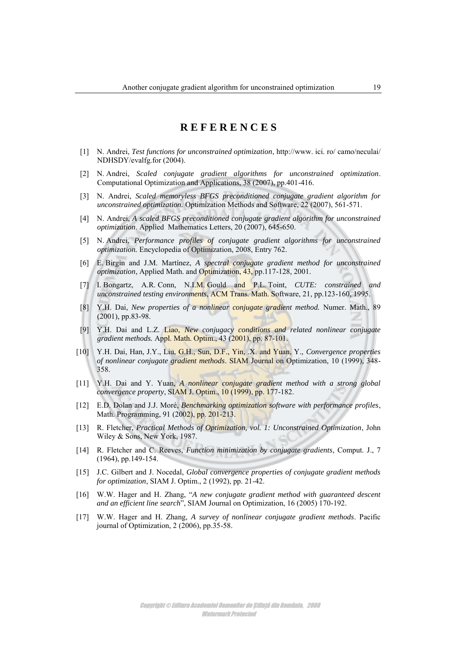# **R E F E R E N C E S**

- [1] N. Andrei, *Test functions for unconstrained optimization*, http://www. ici. ro/ camo/neculai/ NDHSDY/evalfg.for (2004).
- [2] N. Andrei, *Scaled conjugate gradient algorithms for unconstrained optimization*. Computational Optimization and Applications, 38 (2007), pp.401-416.
- [3] N. Andrei, *Scaled memoryless BFGS preconditioned conjugate gradient algorithm for unconstrained optimization.* Optimization Methods and Software, 22 (2007), 561-571.
- [4] N. Andrei, *A scaled BFGS preconditioned conjugate gradient algorithm for unconstrained optimization*. Applied Mathematics Letters, 20 (2007), 645-650.
- [5] N. Andrei, *Performance profiles of conjugate gradient algorithms for unconstrained optimization.* Encyclopedia of Optimization, 2008, Entry 762.
- [6] E. Birgin and J.M. Martínez, *A spectral conjugate gradient method for unconstrained optimization*, Applied Math. and Optimization, 43, pp.117-128, 2001.
- [7] I. Bongartz, A.R. Conn, N.I.M. Gould and P.L. Toint, *CUTE: constrained and unconstrained testing environments*, ACM Trans. Math. Software, 21, pp.123-160, 1995.
- [8] Y.H. Dai, *New properties of a nonlinear conjugate gradient method.* Numer. Math., 89 (2001), pp.83-98.
- [9] Y.H. Dai and L.Z. Liao, *New conjugacy conditions and related nonlinear conjugate gradient methods.* Appl. Math. Optim., 43 (2001), pp. 87-101.
- [10] Y.H. Dai, Han, J.Y., Liu, G.H., Sun, D.F., Yin, .X. and Yuan, Y., *Convergence properties of nonlinear conjugate gradient methods*. SIAM Journal on Optimization, 10 (1999), 348- 358.
- [11] Y.H. Dai and Y. Yuan, *A nonlinear conjugate gradient method with a strong global convergence property*, SIAM J. Optim., 10 (1999), pp. 177-182.
- [12] E.D. Dolan and J.J. Moré, *Benchmarking optimization software with performance profiles*, Math. Programming, 91 (2002), pp. 201-213.
- [13] R. Fletcher, *Practical Methods of Optimization, vol. 1: Unconstrained Optimization*, John Wiley & Sons, New York, 1987.
- [14] R. Fletcher and C. Reeves, *Function minimization by conjugate gradients*, Comput. J., 7 (1964), pp.149-154.
- [15] J.C. Gilbert and J. Nocedal, *Global convergence properties of conjugate gradient methods for optimization*, SIAM J. Optim., 2 (1992), pp. 21-42.
- [16] W.W. Hager and H. Zhang, "*A new conjugate gradient method with guaranteed descent and an efficient line search*", SIAM Journal on Optimization, 16 (2005) 170-192.
- [17] W.W. Hager and H. Zhang, *A survey of nonlinear conjugate gradient methods*. Pacific journal of Optimization, 2 (2006), pp.35-58.